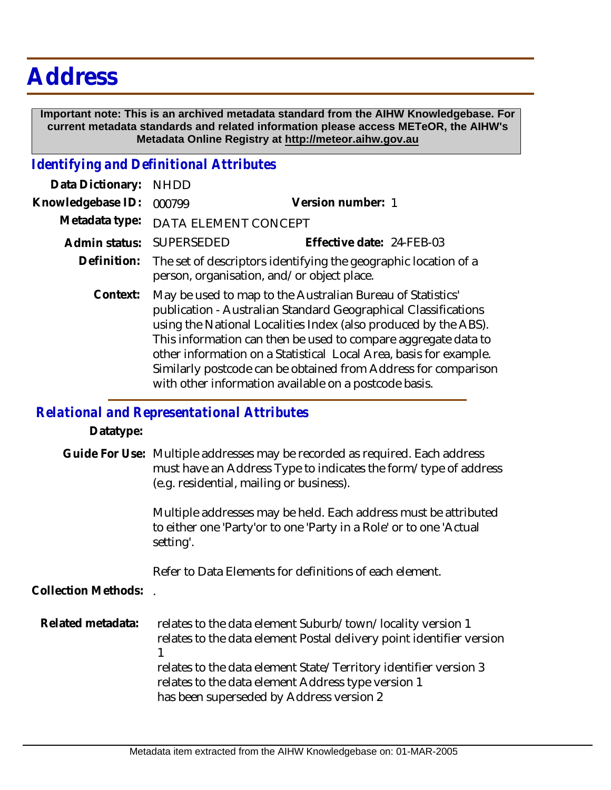## **Address**

 **Important note: This is an archived metadata standard from the AIHW Knowledgebase. For current metadata standards and related information please access METeOR, the AIHW's Metadata Online Registry at http://meteor.aihw.gov.au**

## *Identifying and Definitional Attributes*

| Data Dictionary:  | <b>NHDD</b>                                                                                                                                                                                                                                                                                                                                                                                                                                                       |                           |
|-------------------|-------------------------------------------------------------------------------------------------------------------------------------------------------------------------------------------------------------------------------------------------------------------------------------------------------------------------------------------------------------------------------------------------------------------------------------------------------------------|---------------------------|
| Knowledgebase ID: | 000799                                                                                                                                                                                                                                                                                                                                                                                                                                                            | Version number: 1         |
| Metadata type:    | DATA ELEMENT CONCEPT                                                                                                                                                                                                                                                                                                                                                                                                                                              |                           |
| Admin status:     | SUPERSEDED                                                                                                                                                                                                                                                                                                                                                                                                                                                        | Effective date: 24-FEB-03 |
| Definition:       | The set of descriptors identifying the geographic location of a<br>person, organisation, and/or object place.                                                                                                                                                                                                                                                                                                                                                     |                           |
| Context:          | May be used to map to the Australian Bureau of Statistics'<br>publication - Australian Standard Geographical Classifications<br>using the National Localities Index (also produced by the ABS).<br>This information can then be used to compare aggregate data to<br>other information on a Statistical Local Area, basis for example.<br>Similarly postcode can be obtained from Address for comparison<br>with other information available on a postcode basis. |                           |

## *Relational and Representational Attributes*

| Datatype:           |                                                                                                                                                                                            |
|---------------------|--------------------------------------------------------------------------------------------------------------------------------------------------------------------------------------------|
|                     | Guide For Use: Multiple addresses may be recorded as required. Each address<br>must have an Address Type to indicates the form/type of address<br>(e.g. residential, mailing or business). |
|                     | Multiple addresses may be held. Each address must be attributed<br>to either one 'Party'or to one 'Party in a Role' or to one 'Actual<br>setting'.                                         |
|                     | Refer to Data Elements for definitions of each element.                                                                                                                                    |
| Collection Methods: |                                                                                                                                                                                            |
| Related metadata:   | relates to the data element Suburb/town/locality version 1<br>relates to the data element Postal delivery point identifier version                                                         |
|                     | relates to the data element State/Territory identifier version 3<br>relates to the data element Address type version 1<br>has been superseded by Address version 2                         |
|                     |                                                                                                                                                                                            |